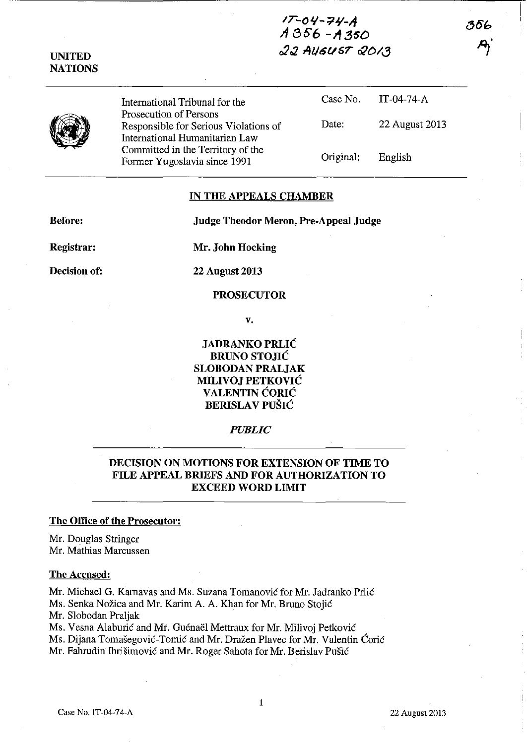# IT-O *'1- ?1+'-A 11:35'6 -11.350 r2:l 1U/t5t/sr &0/(3*

**UNITED NATIONS** 

> International Tribunal for the Prosecution of Persons Responsible for Serious Violations of International Humanitarian Law Committed in the Territory of the Former Yugoslavia since 1991

Case No. IT-04-74-A Date: 22 August 2013 Original: English

356

### **IN TIlE APPEALS CHAMBER**

**Before:** 

**Judge Theodor Meron, Pre-Appeal Judge** 

**Registrar:** 

**Mr\_ John Hocking** 

**Decision of:** 

**22 Augnst 2013** 

## **PROSECUTOR**

V.

**JADRANKO** PRLIĆ **BRUNO** STOJIĆ **SLOBODAN PRALJAK MILIVOJ** PETKOVIĆ **VALENTIN** ĆORIĆ **BERISLAV** PUŠIĆ

#### *PUBLIC*

# **DECISION ON MOTIONS FOR EXTENSION OF TIME TO FILE APPEAL BRIEFS AND FOR AUTHORIZATION TO EXCEED WORD LIMIT**

#### **The Office of the Prosecutor:**

Mr. Douglas Stringer Mr. Mathias Marcussen

#### **The Accused:**

Mr. Michael G. Karnavas and Ms. Suzana Tomanović for Mr. Jadranko Prlić Ms. Senka Nožica and Mr. Karim A. A. Khan for Mr. Bruno Stojić Mr. Slobodan Praljak Ms. Vesna Alaburić and Mr. Guénaël Mettraux for Mr. Milivoj Petković Ms. Dijana Tomašegović-Tomić and Mr. Dražen Plavec for Mr. Valentin Ćorić

Mr. Fahrudin Ibrišimović and Mr. Roger Sahota for Mr. Berislav Pušić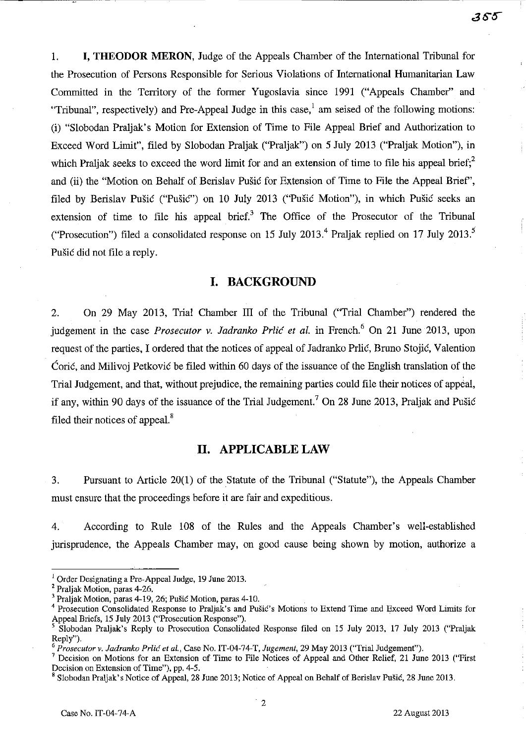1. **I, THEODOR MERON,** Judge of the Appeals Chamber of the International Tribunal for the Prosecution of Persons Responsible for Serious Violations of International Humanitarian Law Committed in the Territory of the former Yugoslavia since 1991 ("Appeals Chamber" and "Tribunal", respectively) and Pre-Appeal Judge in this case,  $\frac{1}{2}$  am seised of the following motions: (i) "Slobodan Praljak's Motion for Extension of Time to File Appeal Brief and Authorization to Exceed Word Limit", filed by Slobodan Praljak ("Praljak") on 5 July 2013 ("Praljak Motion"), in which Praljak seeks to exceed the word limit for and an extension of time to file his appeal brief;<sup>2</sup> and (ii) the "Motion on Behalf of Berislav Pušić for Extension of Time to File the Appeal Brief', filed by Berislav Pušić ("Pušić") on 10 July 2013 ("Pušić Motion"), in which Pušić seeks an extension of time to file his appeal brief.<sup>3</sup> The Office of the Prosecutor of the Tribunal ("Prosecution") filed a consolidated response on 15 July 2013.<sup>4</sup> Praljak replied on 17 July 2013.<sup>5</sup> Pušić did not file a reply.

# **I. BACKGROUND**

2. On 29 May 2013, Trial Chamber III of the Tribunal ("Trial Chamber") rendered the judgement in the case *Prosecutor* v. *Jadranko* Prlić *et al.* in French.6 On 21 June 2013, upon request of the parties, I ordered that the notices of appeal of Jadranko Prlić, Bruno Stojić, Valention Ćorić, and Milivoj Petković be filed within 60 days of the issuance of the English translation of the Trial Judgement, and that, without prejudice, the remaining parties could file their notices of appeal, if any, within 90 days of the issuance of the Trial Judgement.<sup>7</sup> On 28 June 2013, Praljak and Pušić filed their notices of appeal.<sup>8</sup>

### **II. APPLICABLE LAW**

3. Pursuant to Article 20(1) of the Statute of the Tribunal ("Statute"), the Appeals Chamber must ensure that the proceedings before it are fair and expeditious.

4. According to Rule 108 of the Rules and the Appeals Chamber's well-established jurisprudence, the Appeals Chamber may, on good cause being shown by motion, authorize a

 $<sup>1</sup>$  Order Designating a Pre-Appeal Judge, 19 June 2013.</sup>

<sup>2</sup> Praljak Motion, paras 4-26.

<sup>&</sup>lt;sup>3</sup> Praljak Motion, paras 4-19, 26; Pušić Motion, paras 4-10.

<sup>4</sup> Prosecution Consolidated Response to Praljak's and Pušić's Motions to Extend Time and Exceed Word Limits for Appeal Briefs, 15 July 2013 ("Prosecution Response").

<sup>5</sup> Slobodan Praljak's Reply to Prosecution Consolidated Response filed on 15 July 2013, 17 July 2013 ("Praljak Reply").

*<sup>6</sup> Prosecutor v. Jadranko* Prlić *et al.,* Case No. IT-04-74-T, *Jugement,* 29 May 2013 ("Trial Judgement").

<sup>7</sup> Decision on Motions for an Extension of Time to File Notices of Appeal and Other Relief, 21 June 2013 ("First Decision on Extension of Time"), pp. 4-5.

<sup>&</sup>lt;sup>8</sup> Slobodan Praljak's Notice of Appeal, 28 June 2013; Notice of Appeal on Behalf of Berislav Pušić, 28 June 2013.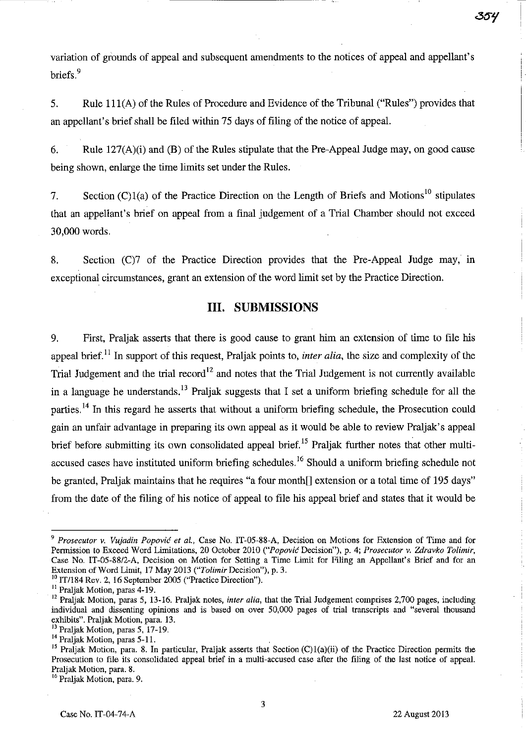variation of grounds of appeal and subsequent amendments to the notices of appeal and appellant's briefs.<sup>9</sup>

---~----------------~--------- ---------~---;-

5. Rule 111(A) of the Rules of Procedure and Evidence of the Tribunal ("Rules") provides that an appellant's brief shall be filed within 75 days of filing of the notice of appeal.

6. Rule  $127(A)(i)$  and (B) of the Rules stipulate that the Pre-Appeal Judge may, on good cause being shown, enlarge the time limits set under the Rules.

7. Section (C)1(a) of the Practice Direction on the Length of Briefs and Motions<sup>10</sup> stipulates that an appellant's brief on appeal from a final judgement of a Trial Chamber should not exceed 30,000 words.

8. Section (C)7 of the Practice Direction provides that the Pre-Appeal Judge may, in exceptional circumstances, grant an extension of the word limit set by the Practice Direction.

# **III. SUBMISSIONS**

9. First, Praljak asserts that there is good cause to grant him an extension of time to file his appeal brief.<sup>11</sup> In support of this request, Praljak points to, *inter alia*, the size and complexity of the Trial Judgement and the trial record<sup>12</sup> and notes that the Trial Judgement is not currently available in a language he understands.<sup>13</sup> Praljak suggests that I set a uniform briefing schedule for all the parties.<sup>14</sup> In this regard he asserts that without a uniform briefing schedule, the Prosecution could gain an unfair advantage in preparing its own appeal as it would be able to review Praljak's appeal brief before submitting its own consolidated appeal brief.<sup>15</sup> Praljak further notes that other multiaccused cases have instituted uniform briefing schedules.<sup>16</sup> Should a uniform briefing schedule not be granted, Praljak maintains that he requires "a four month<sup>[]</sup> extension or a total time of 195 days" from the date of the filing of his notice of appeal to file his appeal brief and states that it would be

<sup>10</sup> IT/184 Rev. 2, 16 September 2005 ("Practice Direction").

13 Praljak Motion, paras 5, 17-19.

16 Praljak Motion. para. 9.

*<sup>9</sup> Prosecutor* v. *Vujadin* Popović *et al.,* Case No. IT-05-88-A, Decision on Motions for Extension of Time and for Permission to Exceed Word Limitations, 20 October 2010 ("Popović Decision"), p. 4; *Prosecutor* v. *Zdravko Tolimir,*  Case No. IT-05-88/2-A, Decision on Motion for Setting a Time Limit for Filing an Appellant's Brief and for an Extension of Word Limit, 17 May 2013 *("Tolimir* Decision"), p. 3.

<sup>11</sup> Praljak Motion, paras 4-19.

<sup>&</sup>lt;sup>12</sup> Praljak Motion, paras 5, 13-16. Praljak notes, *inter alia*, that the Trial Judgement comprises 2,700 pages, including individual and dissenting opinions and is based on over 50,000 pages of trial transcripts and "several thousand exhibits". Praljak Motion, para. 13.

<sup>&</sup>lt;sup>14</sup> Praljak Motion, paras 5-11.

<sup>&</sup>lt;sup>15</sup> Praljak Motion, para. 8. In particular, Praljak asserts that Section (C)1(a)(ii) of the Practice Direction permits the Prosecution to file its consolidated appeal brief in a multi-accused case after the filing of the last notice of appeal. Praljak Motion, para. 8.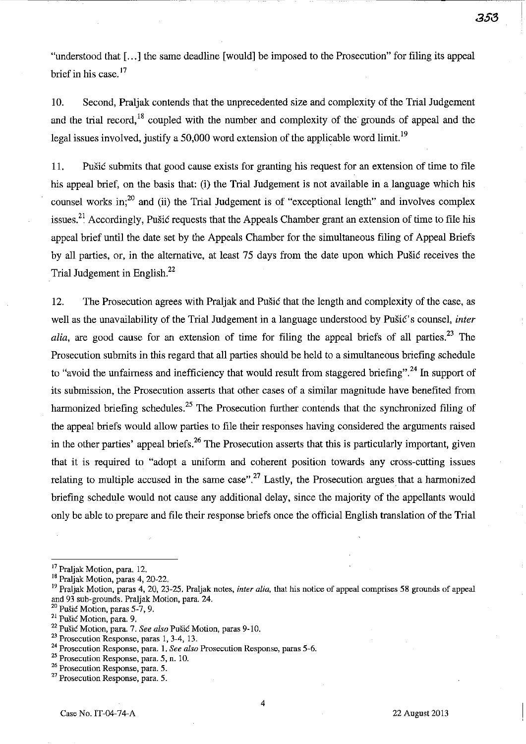**358** 

"understood that [ ... ] the same deadline [would] be imposed to the Prosecution" for filing its appeal brief in his case.<sup>17</sup>

10. Second, Praljak: contends that the unprecedented size and complexity of the Trial Judgement and the trial record,<sup>18</sup> coupled with the number and complexity of the grounds of appeal and the legal issues involved, justify a 50,000 word extension of the applicable word limit.<sup>19</sup>

ll. Pušić submits that good cause exists for granting his request for an extension of time to file his appeal brief, on the basis that: (i) the Trial Judgement is not available in a language which his counsel works in;<sup>20</sup> and (ii) the Trial Judgement is of "exceptional length" and involves complex issues.<sup>21</sup> Accordingly, Pušić requests that the Appeals Chamber grant an extension of time to file his appeal brief until the date set by the Appeals Chamber for the simultaneous filing of Appeal Briefs by all parties, or, in the alternative, at least 75 days from the date upon which Pušić receives the Trial Judgement in English. $^{22}$ 

12. The Prosecution agrees with Praljak and Pušić that the length and complexity of the case, as well as the unavailability of the Trial Judgement in a language understood by Pušić's counsel, *inter alia*, are good cause for an extension of time for filing the appeal briefs of all parties.<sup>23</sup> The Prosecution submits in this regard that all parties should be held to a simultaneous briefing schedule to "avoid the unfairness and inefficiency that would result from staggered briefing".24 **In** support of its submission, the Prosecution asserts that other cases of a similar magnitude have benefited from harmonized briefing schedules.<sup>25</sup> The Prosecution further contends that the synchronized filing of the appeal briefs would allow parties to file their responses having considered the arguments raised in the other parties' appeal briefs.<sup>26</sup> The Prosecution asserts that this is particularly important, given that it is required to "adopt a uniform and coherent position towards any cross-cutting issues relating to multiple accused in the same case".<sup>27</sup> Lastly, the Prosecution argues that a harmonized briefing schedule would not cause any additional delay, since the majority of the appellants would only be able to prepare and file their response briefs once the official English translation of the Trial

4

<sup>&</sup>lt;sup>17</sup> Praljak Motion, para. 12.

<sup>18</sup> Praljak Motion, paras 4, 20-22.

<sup>19</sup> Praljak Motion, paras 4, 20, 23-25. Praljak notes, *inter alia.* that his notice of appeal comprises 58 grounds of appeal and 93 sub-grounds. Praljak Motion, para. 24.

 $20$  Pušić Motion, paras 5-7, 9.

**<sup>21</sup>**Pušić **Motion, para. 9,** 

<sup>22</sup>Pušić Motion, para. 7. *See also* Pušić Motion, paras 9-10.

<sup>&</sup>lt;sup>23</sup> Prosecution Response, paras 1, 3-4, 13.

**<sup>24</sup> Prosecution Response, para. 1.** *See also* **Prosecution Response, paras 5-6.** 

**<sup>25</sup> Prosecution Response, para. 5, n. 10.** 

**<sup>26</sup> Prosecution Response, para. 5.** 

**<sup>27</sup> Prosecution Response, para. 5.**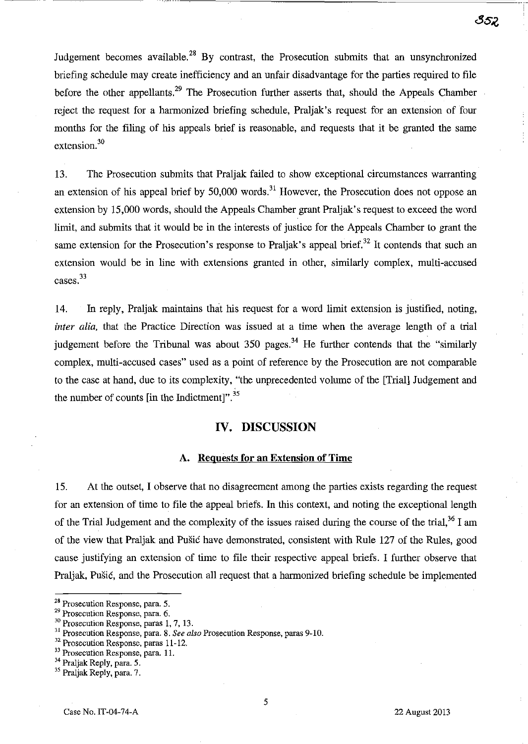Judgement becomes available.<sup>28</sup> By contrast, the Prosecution submits that an unsynchronized briefing schedule may create inefficiency and an unfair disadvantage for the parties required to file before the other appellants, $29$  The Prosecution further asserts that, should the Appeals Chamber reject the request for a harmonized briefing schedule, Praljak's request for an extension of four months for the filing of his appeals brief is reasonable, and requests that it be granted the same extension.<sup>30</sup>

13. The Prosecution submits that Praljak failed to show exceptional circumstances warranting an extension of his appeal brief by  $50,000$  words.<sup>31</sup> However, the Prosecution does not oppose an extension by 15,000 words, should the Appeals Chamber grant Praljak's request to exceed the word limit, and submits that it would be in the interests of justice for the Appeals Chamber to grant the same extension for the Prosecution's response to Praljak's appeal brief.<sup>32</sup> It contends that such an extension would be in line with extensions granted in other, similarly complex, multi-accused cases. 33

14. In reply, Praljak maintains that his request for a word limit extension is justified, noting, *inter alia*, that the Practice Direction was issued at a time when the average length of a trial judgement before the Tribunal was about  $350$  pages.<sup>34</sup> He further contends that the "similarly complex, multi-accused cases" used as a point of reference by the Prosecution are not comparable to the case at hand, due to its complexity, "the unprecedented volume of the [Trial] Judgement and the number of counts [in the Indictment]". $^{35}$ 

### IV. DISCUSSION

#### A. Requests for an Extension of Time

15. At the outset, I observe that no disagreement among the parties exists regarding the request for an extension of time to file the appeal briefs. In this context, and noting the exceptional length of the Trial Judgement and the complexity of the issues raised during the course of the trial,<sup>36</sup> I am of the view that Praljak and Pušić have demonstrated, consistent with Rule 127 of the Rules, good cause justifying an extension of time to file their respective appeal briefs. I further observe that Praljak, Pušić, and the Prosecution all request that a harmonized briefing schedule be implemented

<sup>28</sup> Prosecution Response, para. 5.

<sup>29</sup> Prosecution Response, para. 6.

<sup>&</sup>lt;sup>30</sup> Prosecution Response, paras 1, 7, 13.

<sup>31</sup> Prosecution Response, para. 8. *See also* Prosecution Response, paras 9-10.

<sup>&</sup>lt;sup>32</sup> Prosecution Response, paras 11-12.

<sup>&</sup>lt;sup>33</sup> Prosecution Response, para. 11.

<sup>&</sup>lt;sup>34</sup> Praljak Reply, para. 5.

<sup>&</sup>lt;sup>35</sup> Praljak Reply, para. 7.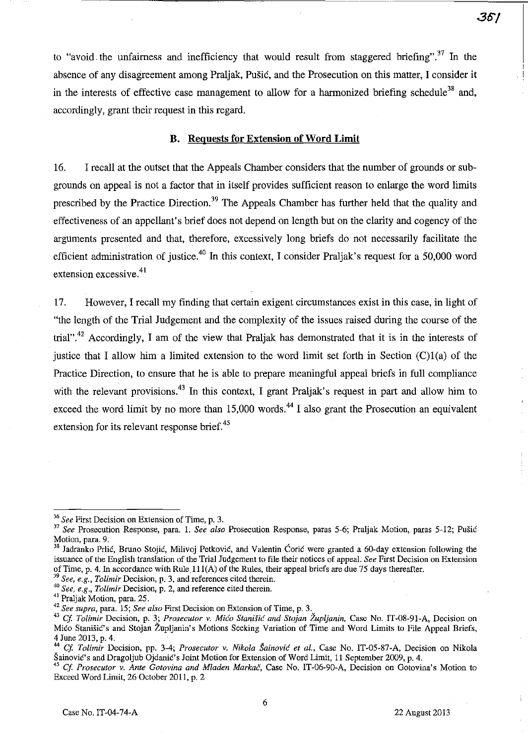to "avoid the unfairness and inefficiency that would result from staggered briefing".<sup>37</sup> In the absence of any disagreement among Praljak, Pušić, and the Prosecution on this matter, I consider it in the interests of effective case management to allow for a harmonized briefing schedule<sup>38</sup> and, accordingly, grant their request in this regard.

"----- ---------------------------

### **B. Requests for Extension** of Word **Limit**

16. I recall at the outset that the Appeals Chamber considers that the number of grounds or subgrounds on appeal is not a factor that in itself provides sufficient reason to enlarge the word limits prescribed by the Practice Direction.<sup>39</sup> The Appeals Chamber has further held that the quality and effectiveness of an appellant's brief does not depend on length but on the clarity and cogency of the arguments presented and that, therefore, excessively long briefs do not necessarily facilitate the efficient administration of justice.<sup>40</sup> In this context, I consider Praljak's request for a 50,000 word extension excessive.<sup>41</sup>

17. However, I recall my finding that certain exigent circumstances exist in this case, in light of "the length of the Trial Judgement and the complexity of the issues raised during the course of the trial".<sup>42</sup> Accordingly, I am of the view that Praljak has demonstrated that it is in the interests of justice that I allow him a limited extension to the word limit set forth in Section (C)1(a) of the Practice Direction, to ensure that he is able to prepare meaningful appeal briefs in full compliance with the relevant provisions.<sup>43</sup> In this context, I grant Praljak's request in part and allow him to exceed the word limit by no more than  $15,000$  words.<sup>44</sup> I also grant the Prosecution an equivalent extension for its relevant response brief.<sup>45</sup>

*39 See, e.g., Tolimir* **Decision, p. 3, and references cited therein.** 

**<sup>36</sup>***See* **First Decision on Extension of Time, p. 3.** 

<sup>37</sup>*See* Prosecution Response, para.!. *See also* Prosecution Response, paras 5-6; Praljak Motion, paras 5-12; Pušić Motion, para. 9.

<sup>&</sup>lt;sup>38</sup> Jadranko Prlić, Bruno Stojić, Milivoj Petković, and Valentin Ćorić were granted a 60-day extension following the issuance of the English translation of the Trial Judgement to file their notices of appeal. *See* First Decision on Extension of Time, p. 4. In accordance with Rule  $111(A)$  of the Rules, their appeal briefs are due 75 days thereafter.

**<sup>40</sup>***See, e.g. o Tolimir* **Decision, p. 2, and reference cited therein.** 

<sup>41</sup>Praljak Motion, para. 25.

**<sup>42</sup>***See supra,* **para. 15;** *See also* **First Decision on Extension of Time, p. 3.** 

*<sup>43</sup> Cj Tolimir* Decision, p. 3; *Prosecutor v.* Mićo Stanišić *and Stojan Župljanin,* Case No. 1T-08-91-A, Decision on Mićo Stanišić's and Stojan Župljanin's Motions Seeking Variation of Time and Word Limits to File Appeal Briefs, 4 June 2013, p. 4.

<sup>44</sup>*Cj Tolimir* Decision, pp. 3-4; *Prosecutor* v. *Nikola* Šainović *et al.,* Case No. IT-05-87-A, Decision on Nikola Šainović's and Dragoljub Ojdanić's Joint Motion for Extension of Word Limit, 11 September 2009, p. 4.

<sup>&</sup>lt;sup>45</sup> Cf. Prosecutor v. Ante Gotovina and Mladen Markač, Case No. IT-06-90-A, Decision on Gotovina's Motion to Exceed Word Limit, 26 October 2011, p. 2